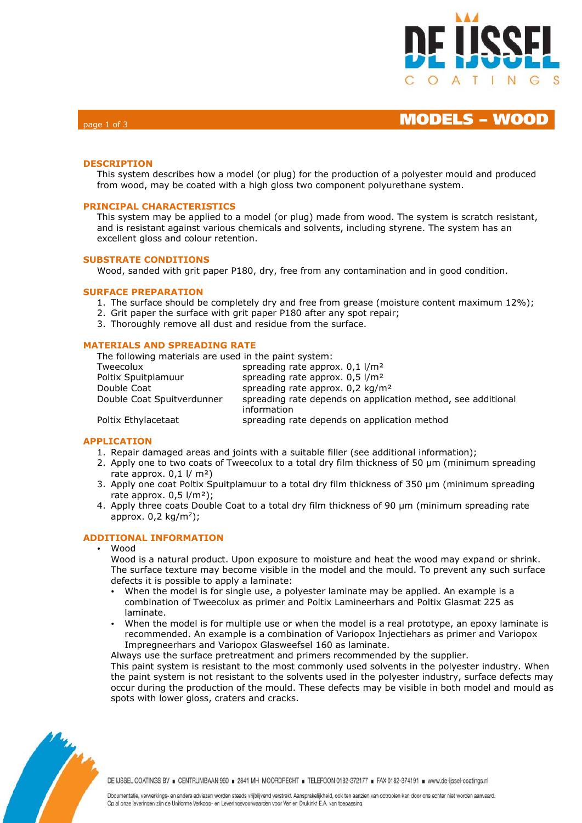

# $_{\text{page 1 of 3}}$  and  $_{\text{page 1 of 3}}$  means  $_{\text{page 2 of 3}}$  means  $_{\text{page 3}}$  means  $_{\text{page 4 of 3}}$  means  $_{\text{page 5 of 4}}$  means  $_{\text{page 6 of 3}}$

### **DESCRIPTION**

This system describes how a model (or plug) for the production of a polyester mould and produced from wood, may be coated with a high gloss two component polyurethane system.

### **PRINCIPAL CHARACTERISTICS**

This system may be applied to a model (or plug) made from wood. The system is scratch resistant, and is resistant against various chemicals and solvents, including styrene. The system has an excellent gloss and colour retention.

#### **SUBSTRATE CONDITIONS**

Wood, sanded with grit paper P180, dry, free from any contamination and in good condition.

#### **SURFACE PREPARATION**

- 1. The surface should be completely dry and free from grease (moisture content maximum 12%);
- 2. Grit paper the surface with grit paper P180 after any spot repair;
- 3. Thoroughly remove all dust and residue from the surface.

### **MATERIALS AND SPREADING RATE**

| The following materials are used in the paint system: |                                                                             |  |  |  |  |
|-------------------------------------------------------|-----------------------------------------------------------------------------|--|--|--|--|
| Tweecolux                                             | spreading rate approx. 0,1 l/m <sup>2</sup>                                 |  |  |  |  |
| Poltix Spuitplamuur                                   | spreading rate approx. 0,5 l/m <sup>2</sup>                                 |  |  |  |  |
| Double Coat                                           | spreading rate approx. 0,2 kg/m <sup>2</sup>                                |  |  |  |  |
| Double Coat Spuitverdunner                            | spreading rate depends on application method, see additional<br>information |  |  |  |  |
| Poltix Ethylacetaat                                   | spreading rate depends on application method                                |  |  |  |  |

#### **APPLICATION**

- 1. Repair damaged areas and joints with a suitable filler (see additional information);
- 2. Apply one to two coats of Tweecolux to a total dry film thickness of 50 μm (minimum spreading rate approx.  $0.1$   $\mid$   $/m<sup>2</sup>$ )
- 3. Apply one coat Poltix Spuitplamuur to a total dry film thickness of 350 μm (minimum spreading rate approx.  $0.5$  l/m<sup>2</sup>);
- 4. Apply three coats Double Coat to a total dry film thickness of 90 µm (minimum spreading rate approx.  $0.2 \text{ kg/m}^2$ );

#### **ADDITIONAL INFORMATION**

Wood

Wood is a natural product. Upon exposure to moisture and heat the wood may expand or shrink. The surface texture may become visible in the model and the mould. To prevent any such surface defects it is possible to apply a laminate:

- When the model is for single use, a polyester laminate may be applied. An example is a combination of Tweecolux as primer and Poltix Lamineerhars and Poltix Glasmat 225 as laminate.
- When the model is for multiple use or when the model is a real prototype, an epoxy laminate is recommended. An example is a combination of Variopox Injectiehars as primer and Variopox Impregneerhars and Variopox Glasweefsel 160 as laminate.

Always use the surface pretreatment and primers recommended by the supplier.

This paint system is resistant to the most commonly used solvents in the polyester industry. When the paint system is not resistant to the solvents used in the polyester industry, surface defects may occur during the production of the mould. These defects may be visible in both model and mould as spots with lower gloss, craters and cracks.



DE IJSSEL COATINGS BV = CENTRUMBAAN 960 = 2841 MH MOORDRECHT = TELEFOON 0182-372177 = FAX 0182-374191 = www.de-ijssel-coatings.nl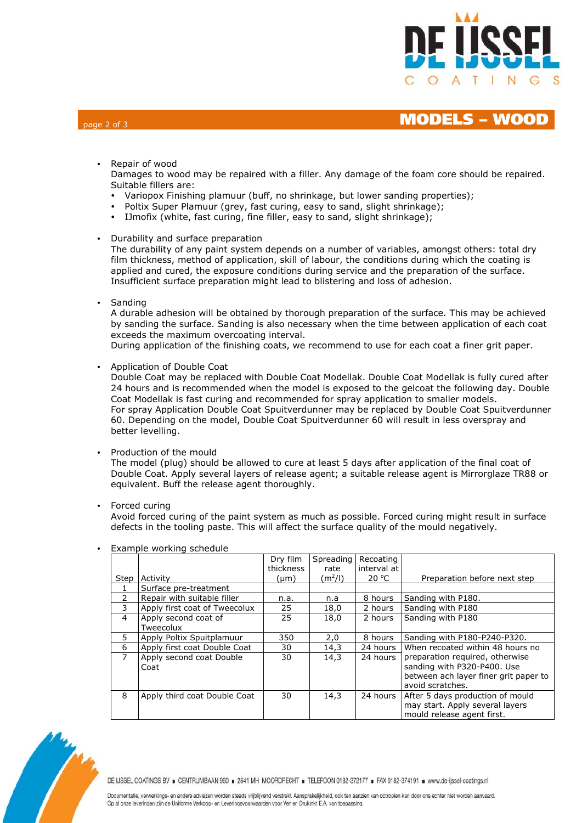

# $_{\text{page 2 of 3}}$  and  $_{\text{page 2 of 3}}$  means  $_{\text{page 2 of 3}}$  means  $_{\text{page 2 of 3}}$  means  $_{\text{page 2 of 3}}$  means  $_{\text{page 3 of 4}}$  means  $_{\text{page 4 of 4}}$  means  $_{\text{page 5 of 4}}$  means  $_{\text{page 6 of 3}}$  means  $_{\text{page 7 of 4}}$  means  $_{\text{page 7 of 3}}$  means  $_{\$

## Repair of wood

Damages to wood may be repaired with a filler. Any damage of the foam core should be repaired. Suitable fillers are:

- Variopox Finishing plamuur (buff, no shrinkage, but lower sanding properties);
- Poltix Super Plamuur (grey, fast curing, easy to sand, slight shrinkage);
- IJmofix (white, fast curing, fine filler, easy to sand, slight shrinkage);
- Durability and surface preparation

The durability of any paint system depends on a number of variables, amongst others: total dry film thickness, method of application, skill of labour, the conditions during which the coating is applied and cured, the exposure conditions during service and the preparation of the surface. Insufficient surface preparation might lead to blistering and loss of adhesion.

• Sanding

A durable adhesion will be obtained by thorough preparation of the surface. This may be achieved by sanding the surface. Sanding is also necessary when the time between application of each coat exceeds the maximum overcoating interval.

During application of the finishing coats, we recommend to use for each coat a finer grit paper.

Application of Double Coat

Double Coat may be replaced with Double Coat Modellak. Double Coat Modellak is fully cured after 24 hours and is recommended when the model is exposed to the gelcoat the following day. Double Coat Modellak is fast curing and recommended for spray application to smaller models. For spray Application Double Coat Spuitverdunner may be replaced by Double Coat Spuitverdunner 60. Depending on the model, Double Coat Spuitverdunner 60 will result in less overspray and better levelling.

Production of the mould

The model (plug) should be allowed to cure at least 5 days after application of the final coat of Double Coat. Apply several layers of release agent; a suitable release agent is Mirrorglaze TR88 or equivalent. Buff the release agent thoroughly.

• Forced curing

Avoid forced curing of the paint system as much as possible. Forced curing might result in surface defects in the tooling paste. This will affect the surface quality of the mould negatively.

|      | . <b>.</b> <del>.</del>       |           |                     |             |                                                                     |
|------|-------------------------------|-----------|---------------------|-------------|---------------------------------------------------------------------|
|      |                               | Dry film  | Spreading           | Recoating   |                                                                     |
|      |                               | thickness | rate                | interval at |                                                                     |
| Step | Activity                      | $\mu$ m)  | (m <sup>2</sup> /I) | 20 °C       | Preparation before next step                                        |
|      | Surface pre-treatment         |           |                     |             |                                                                     |
| 2    | Repair with suitable filler   | n.a.      | n.a                 | 8 hours     | Sanding with P180.                                                  |
| 3    | Apply first coat of Tweecolux | 25        | 18,0                | 2 hours     | Sanding with P180                                                   |
| 4    | Apply second coat of          | 25        | 18,0                | 2 hours     | Sanding with P180                                                   |
|      | Tweecolux                     |           |                     |             |                                                                     |
| 5.   | Apply Poltix Spuitplamuur     | 350       | 2,0                 | 8 hours     | Sanding with P180-P240-P320.                                        |
| 6    | Apply first coat Double Coat  | 30        | 14,3                | 24 hours    | When recoated within 48 hours no                                    |
| 7    | Apply second coat Double      | 30        | 14,3                | 24 hours    | preparation required, otherwise                                     |
|      | Coat                          |           |                     |             | sanding with P320-P400. Use                                         |
|      |                               |           |                     |             | between ach layer finer grit paper to                               |
|      |                               |           |                     |             | avoid scratches.                                                    |
| 8    | Apply third coat Double Coat  | 30        | 14,3                | 24 hours    | After 5 days production of mould<br>may start. Apply several layers |
|      |                               |           |                     |             | mould release agent first.                                          |

Example working schedule



DE IJSSEL COATINGS BV E CENTRUMBAAN 960 = 2841 MH MOORDRECHT = TELEFOON 0182-372177 = FAX 0182-374191 = www.de-ijssel-coatings.nl